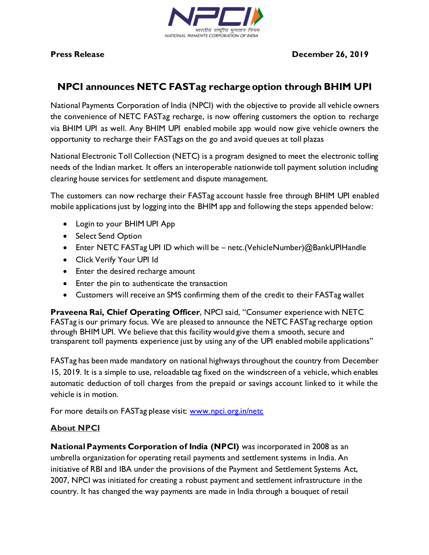

**Press Release December 26, 2019** 

## **NPCI announces NETC FASTag recharge option through BHIM UPI**

National Payments Corporation of India (NPCI) with the objective to provide all vehicle owners the convenience of NETC FASTag recharge, is now offering customers the option to recharge via BHIM UPI as well. Any BHIM UPI enabled mobile app would now give vehicle owners the opportunity to recharge their FASTags on the go and avoid queues at toll plazas

National Electronic Toll Collection (NETC) is a program designed to meet the electronic tolling needs of the Indian market. It offers an interoperable nationwide toll payment solution including clearing house services for settlement and dispute management.

The customers can now recharge their FASTag account hassle free through BHIM UPI enabled mobile applications just by logging into the BHIM app and following the steps appended below:

- Login to your BHIM UPI App
- Select Send Option
- Enter NETC FASTag UPI ID which will be netc.(VehicleNumber)@BankUPIHandle
- Click Verify Your UPI Id
- Enter the desired recharge amount
- Enter the pin to authenticate the transaction
- Customers will receive an SMS confirming them of the credit to their FASTag wallet

**Praveena Rai, Chief Operating Officer**, NPCI said, "Consumer experience with NETC FASTag is our primary focus. We are pleased to announce the NETC FASTag recharge option through BHIM UPI. We believe that this facility would give them a smooth, secure and transparent toll payments experience just by using any of the UPI enabled mobile applications"

FASTag has been made mandatory on national highways throughout the country from December 15, 2019. It is a simple to use, reloadable tag fixed on the windscreen of a vehicle, which enables automatic deduction of toll charges from the prepaid or savings account linked to it while the vehicle is in motion.

For more details on FASTag please visit: [www.npci.org.in/netc](http://www.npci.org.in/netc)

## **About NPCI**

**National Payments Corporation of India (NPCI)** was incorporated in 2008 as an umbrella organization for operating retail payments and settlement systems in India. An initiative of RBI and IBA under the provisions of the Payment and Settlement Systems Act, 2007, NPCI was initiated for creating a robust payment and settlement infrastructure in the country. It has changed the way payments are made in India through a bouquet of retail